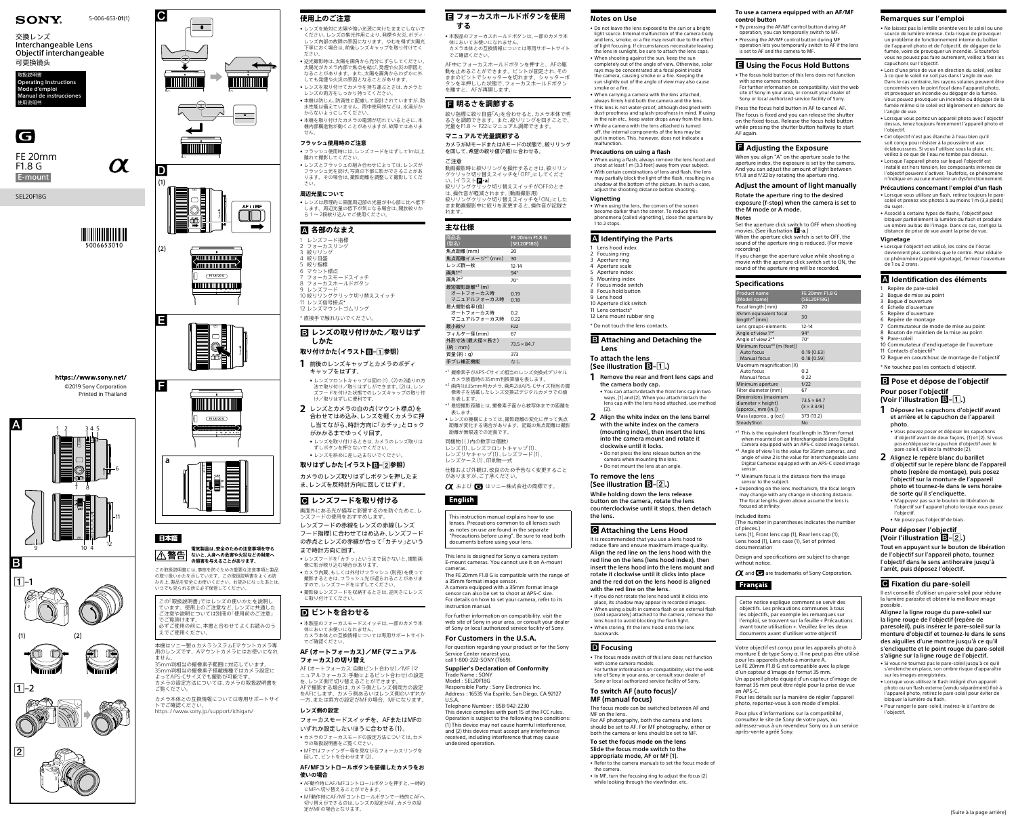



# 日本語





 $\boxed{1}$ -2



https://www.sony.net/ ©2019 Sony Corporation Printed in Thailand



5-006-653-**01**(1)

E-mount

SEL20F18G



5006653010

 $\boldsymbol{\alpha}$ 



# 交換レンズ Interchangeable Lens Objectif interchangeable 可更换镜头

取扱説明書 Operating Instructions Mode d'emploi Manual de instrucciones



使用说明书

FE 20mm F1.8 G

### **電気製品は、安全のための注意事項を守ら** |△警告| **ないと、人身への危害や火災などの財産へ の損害を与えることがあります。**

この取扱説明書には、事故を防ぐための重要な注意事項と製品 の取り扱いかたを示しています。この取扱説明書をよくお読 みの上、製品を安全にお使いください。お読みになったあとは、 いつでも見られる所に必ず保管してください。

この「取扱説明書」ではレンズの使いかたを説明し ています。使用上のご注意など、レンズに共通した ご注意や説明については別冊の「使用前のご注意」 でご覧頂けます。 必ずご使用の前に、本書と合わせてよくお読みのう えでご使用ください。

• レンズは原理的に画面周辺部の光量が中心部に比べ低下 します。周辺光量の低下が気になる場合は、開放絞りか ら1~2段絞り込んでご使用ください

本機はソニー製αカメラシステムEマウントカメラ専 用のレンズです。Aマウントカメラにはお使いになれ

ません。 35mm判相当の撮像素子範囲に対応しています。 35mm判相当の撮像素子搭載機種ではカメラ設定に よってAPS-Cサイズでも撮影が可能です。

カメラの設定方法については、カメラの取扱説明書を ご覧ください。 カメラ本体との互換情報については専用サポートサイ

# **B** レンズの取り付けかた/取りはず **しかた**

トでご確認ください。 <https://www.sony.jp/support/ichigan/>

# **使用上のご注意**

- • レンズを絶対に太陽や強い光源に向けたままにしないで ください。レンズの集光作用により、発煙や火災、ボディ レンズ内部の故障の原因になります。やむを得ず太陽光 下等におく場合は、前後レンズキャップを取り付けてく ださい。
- • 逆光撮影時は、太陽を画角から充分にずらしてください。 太陽光がカメラ内部で焦点を結び、発煙や火災の原因と なることがあります。また、太陽を画角からわずかに外 しても発煙や火災の原因となることがあります。
- • レンズを取り付けてカメラを持ち運ぶときは、カメラと レンズの両方をしっかり持ってください。 ●本機は防じん、防滴性に配慮して設計されていますが、防
- 水性能は備えていません。雨中使用時などは、水滴がか からないようにしてください。
- • 本機を取り付けたカメラの電源が切れているときに、本 機内部構造物が動くことがありますが、故障ではありま せん。

# **フラッシュ使用時のご注意**

- • フラッシュ使用時には、レンズフードをはずして1m以上 離れて撮影してください。
- • レンズとフラッシュの組み合わせによっては、レンズが フラッシュ光を妨げ、写真の下部に影ができることがあ ります。その場合は、撮影距離を調整して撮影してくだ さい。

# **周辺光量について**

# **各部のなまえ**

- しンズフード指標
- 2 フォーカスリング 3 絞りリング
- 4 絞り目盛
- 5 絞り指標 6 マウント標点
- フォーカスモードスイッチ
- 8 フォーカスホールドボタン
- 9 レンズフード - 3<br>10 絞りリングクリック切り替えスイッチ
- 11 レンズ信号接占\*

ご注意 動画撮影時に絞りリングを操作するときは、絞りリン グクリック切り替えスイッチを「OFF」にしてくださ い。(イラスト**日-a**)

12 レンズマウントゴムリング \* 直接手で触れないでください。

# **取り付けかた(イラスト–参照)**

- **1** 前後のレンズキャップとカメラのボディ キャップをはずす。
- • レンズフロントキャップは図の(1)、(2)の2通りの方 法で取り付け/取りはずしができます。(2)は、レン ズフードを付けた状態でのレンズキャップの取り付 け/取りはずしに便利です。
- **2** レンズとカメラの白の点(マウント標点)を 合わせてはめ込み、レンズを軽くカメラに押 し当てながら、時計方向に「カチッ」とロック がかかるまでゆっくり回す。
- • レンズを取り付けるときは、カメラのレンズ取りは ずしボタンを押さないでください。 • レンズを斜めに差し込まないでください。

像素子を搭載したレンズ交換式デジタルカメラでの値 を表します。 \*3 最短撮影距離とは、撮像素子面から被写体までの距離を

# **取りはずしかた(イラスト–参照)**

カメラのレンズ取りはずしボタンを押したま ま、レンズを反時計方向に回してはずす。

# **■ レンズフードを取り付ける**

### This lens is designed for Sony  $\alpha$  camera system E-mount cameras. You cannot use it on A-mount cameras.

- 画面外にある光が描写に影響するのを防ぐために、レ ンズフードの使用をおすすめします。
- レンズフードの赤線をレンズの赤線(レンズ フード指標)に合わせてはめ込み、レンズフード の赤点とレンズの赤線が合って「カチッ」という
- まで時計方向に回す。
- • レンズフードを「カチッ」というまで回さないと、撮影画 像に影が映り込む場合があります。
- カメラ内蔵、もしくは外付けフラッシュ (別売)を使って 撮影するときは、フラッシュ光が遮られることがありま すので、レンズフードをはずしてください。
- ●撮影後レンズフードを収納するときは、逆向きにレンズ に取り付けてください。

# **ピントを合わせる**

• 本製品のフォーカスモードスイッチは、一部のカメラ本 体においてお使いになれません。 カメラ本体との互換情報については専用サポートサイト でご確認ください。

# **AF(オートフォーカス)/MF(マニュアル フォーカス)の切り替え**

AF(オートフォーカス:自動ピント合わせ)/MF(マ ニュアルフォーカス:手動によるピント合わせ)の設定 を、レンズ側で切り替えることができます。 AFで撮影する場合は、カメラ側とレンズ側両方の設定

をAFにします。カメラ側あるいはレンズ側のいずれか 一方、または両方の設定がMFの場合、MFになります。 **レンズ側の設定**

- フォーカスモードスイッチを、AFまたはMFの いずれか設定したいほうに合わせる(1)。
- カメラのフォーカスモードの設定方法については、カメ
- ラの取扱説明書をご覧ください。 • MFではファインダー等を見ながらフォーカスリングを 回して、ピントを合わせます(2)。

### **AF/MFコントロールボタンを装備したカメラをお 使いの場合**

- • AF動作時にAF/MFコントロールボタンを押すと、一時的
- にMFへ切り替えることができます。 • MF動作時にAF/MFコントロールボタンで一時的にAFへ 切り替えができるのは、レンズの設定がAF、カメラの設 定がMFの場合となります。

# **フォーカスホールドボタンを使用 する**

• 本製品のフォーカスホールドボタンは、一部のカメラ本 体においてお使いになれません。 カメラ本体との互換情報については専用サポートサイト でご確認ください。

AF中にフォーカスホールドボタンを押すと、AFの駆 動を止めることができます。ピントが固定され、その ままのピントでシャッターを切れます。シャッターボ タンを半押しした状態で、フォーカスホールドボタン を離すと、AFが再開します。

# **明るさを調節する**

絞り指標に絞り目盛「A」を合わせると、カメラ本体で明 るさを調節できます。また、絞りリングを回すことで、 光量をF1.8 ~ F22にマニュアル調節できます。

### **マニュアルで光量調節する** カメラがMモードまたはAモードの状態で、絞りリング を回して、希望の絞り値(F値)に合わせる。

絞りリングクリック切り替えスイッチがOFFのとき は、操作音が軽減されます。(動画撮影用) 絞りリングクリック切り替えスイッチを「ON」にした まま動画撮影中に絞りを変更すると、操作音が記録さ れます。

# **主な仕様**

| 工公让你                                                 |                               |
|------------------------------------------------------|-------------------------------|
| 商品名<br>(型名)                                          | FE 20mm F1.8 G<br>(SEL20F18G) |
| 焦点距離(mm)                                             | 20                            |
| 焦点距離イメージ* <sup>1</sup> (mm)                          | 30                            |
| レンズ群一枚                                               | $12 - 14$                     |
| 画角1* <sup>2</sup>                                    | $94^\circ$                    |
| 画角2* <sup>2</sup>                                    | $70^{\circ}$                  |
| 最短撮影距離* <sup>3</sup> (m)<br>オートフォーカス時<br>マニュアルフォーカス時 | 0.19<br>0.18                  |
| 最大撮影倍率(倍)<br>オートフォーカス時<br>マニュアルフォーカス時                | 0.2<br>0.22                   |
| 最小絞り                                                 | F <sub>22</sub>               |
| フィルター径(mm)                                           | 67                            |
| 外形寸法(最大径×長さ)<br>(m:mm)                               | $73.5 \times 84.7$            |
| 質量(約:g)                                              | 373                           |
| 手ブレ補正機能                                              | なし                            |

\*1 撮像素子がAPS-Cサイズ相当のレンズ交換式デジタル カメラ装着時の35mm判換算値を表します。 \*<sup>2</sup> 画角1は35mm判カメラ、画角2はAPS-Cサイズ相当の撮

**1** Remove the rear and front lens caps and the camera body cap. • You can attach/detach the front lens cap in two

表します。 • レンズの機構によっては、撮影距離の変化に伴って焦点 距離が変化する場合があります。記載の焦点距離は撮影

距離が無限遠での定義です。 同梱物(( )内の数字は個数)

- レンズ(1)、レンズフロントキャップ(1)、 レンズリヤキャップ(1)、レンズフード(1)、
- レンズケース(1)、印刷物一式

仕様および外観は、改良のため予告なく変更すること がありますが、ご了承ください。

○ および ■ はソニー株式会社の商標です。

# **English**

This instruction manual explains how to use lenses. Precautions common to all lenses such as notes on use are found in the separate "Precautions before using". Be sure to read both documents before using your lens.

The FE 20mm F1.8 G is compatible with the range of a 35mm format image sensor.

A camera equipped with a 35mm format image sensor can also be set to shoot at APS-C size. For details on how to set your camera, refer to its instruction manual.

For further information on compatibility, visit the Sony in your ar of Sony or local authorized service facility of Sony.

# **For Customers in the U.S.A.**

For question regarding your product or for the Sony Service Center nearest you, call 1-800-222-SONY (7669).

### **Supplier's Declaration of Conformity** Trade Name : SONY Model : SEL20F18G

Responsible Party : Sony Electronics Inc. Address : 16535 Via Esprillo, San Diego, CA 92127 U.S.A.

Telephone Number : 858-942-2230

This device complies with part 15 of the FCC rules. Operation is subject to the following two conditions: (1) This device may not cause harmful interference, and (2) this device must accept any interference received, including interference that may cause

undesired operation.

### **Notes on Use**

• Do not leave the lens exposed to the sun or a bright light source. Internal malfunction of the camera body and lens, smoke, or a fire may result due to the effect of light focusing. If circumstances necessitate leaving the lens in sunlight, be sure to attach the lens caps. • When shooting against the sun, keep the sun

> $*$ <sup>1</sup> This is the equivalent focal length in 35mm format when mounted on an Interchangeable Lens Digital Camera equipped with an APS-C sized image sensor.

completely out of the angle of view. Otherwise, solar rays may be concentrated at a focal point inside the camera, causing smoke or a fire. Keeping the sun slightly out of the angle of view may also cause smoke or a fire.

• When carrying a camera with the lens attached, always firmly hold both the camera and the lens.

• This lens is not water-proof, although designed with dust-proofness and splash-proofness in mind. If using in the rain etc., keep water drops away from the lens. • While a camera with the lens attached is turned off, the internal components of the lens may be put in motion. This, however, does not indicate a

malfunction.

### **Precautions on using a flash**

• When using a flash, always remove the lens hood and shoot at least 1 m (3.3 feet) away from your subject. • With certain combinations of lens and flash, the lens may partially block the light of the flash, resulting in a shadow at the bottom of the picture. In such a case, adjust the shooting distance before shooting.

**Vignetting**

• When using the lens, the corners of the screen become darker than the center. To reduce this phenomena (called vignetting), close the aperture by

1 to 2 stops.

### **Identifying the Parts**

 Lens hood index Focusing ring Aperture ring Aperture scale Aperture index Mounting index Focus mode switch Focus hold button

9 Lens hood 10 Aperture click switch

11 Lens contacts\* 12 Lens mount rubber ring

### **B** Attaching and Detaching the

\* Do not touch the lens contacts.

**Lens**

# **To attach the lens (See illustration –.)**

ways, (1) and (2). When you attach/detach the lens cap with the lens hood attached, use method

(2).

**2** Align the white index on the lens barrel with the white index on the camera (mounting index), then insert the lens into the camera mount and rotate it clockwise until it locks.

• Do not press the lens release button on the camera when mounting the lens. • Do not mount the lens at an angle.

### **To remove the lens (See illustration –.)**

While holding down the lens release button on the camera, rotate the lens counterclockwise until it stops, then detach

the lens.

### **Attaching the Lens Hood**

It is recommended that you use a lens hood to reduce flare and ensure maximum image quality. Align the red line on the lens hood with the red line on the lens (lens hood index), then insert the lens hood into the lens mount and rotate it clockwise until it clicks into place and the red dot on the lens hood is aligned with the red line on the lens.

• If you do not rotate the lens hood until it clicks into place, its shadow may appear in recorded images. • When using a built-in camera flash or an external flash (sold separately) attached to the camera, remove the ens hood to avoid blocking the flash light. • When storing, fit the lens hood onto the lens

### **D** Focusing

backwards.

• The focus mode switch of this lens does not function with some camera models.

For further information on compatibility, visit the web site of Sony in your area, or consult your dealer of Sony or local authorized service facility of Sony.

### **To switch AF (auto focus)/ MF (manual focus)**

The focus mode can be switched between AF and MF on the lens.

For AF photography, both the camera and lens should be set to AF. For MF photography, either or both the camera or lens should be set to MF.

**To set the focus mode on the lens** Slide the focus mode switch to the appropriate mode, AF or MF (1).

• Refer to the camera manuals to set the focus mode of

the camera.

• In MF, turn the focusing ring to adjust the focus (2) while looking through the viewfinder, etc.

### **To use a camera equipped with an AF/MF control button**

• By pressing the AF/MF control button during AF operation, you can temporarily switch to MF.

• Pressing the AF/MF control button during MF operation lets you temporarily switch to AF if the lens is set to AF and the camera to MF.

### **Using the Focus Hold Buttons**

• The focus hold button of this lens does not function

with some camera models. For further information on compatibility, visit the web site of Sony in your area, or consult your dealer of Sony or local authorized service facility of Sony.

Press the focus hold button in AF to cancel AF. The focus is fixed and you can release the shutter on the fixed focus. Release the focus hold button while pressing the shutter button halfway to start AF again.

### **Adjusting the Exposure**

When you align "A" on the aperture scale to the aperture index, the exposure is set by the camera. And you can adjust the amount of light between f/1.8 and f/22 by rotating the aperture ring.

### **Adjust the amount of light manually** Rotate the aperture ring to the desired

exposure (f-stop) when the camera is set to the M mode or A mode. **Notes**

Set the aperture click switch to OFF when shooting movies. (See illustration **1-a**.) When the aperture click switch is set to OFF, the

sound of the aperture ring is reduced. (For movie recording)

If you change the aperture value while shooting a movie with the aperture click switch set to ON, the sound of the aperture ring will be recorded.

| <b>Specifications</b>                               |                            |
|-----------------------------------------------------|----------------------------|
| <b>Product name</b>                                 | FE 20mm F1.8 G             |
| (Model name)                                        | (SEL20F18G)                |
| Focal length (mm)                                   | 20                         |
| 35mm equivalent focal<br>$length*1$ (mm)            | 30                         |
| Lens groups-elements                                | $12 - 14$                  |
| Angle of view 1 <sup>*2</sup>                       | $94^\circ$                 |
| Angle of view $2^{\star 2}$                         | $70^{\circ}$               |
| Minimum focus <sup><math>*</math>3</sup> (m (feet)) |                            |
| Auto focus                                          | 0.19(0.63)                 |
| <b>Manual focus</b>                                 | 0.18(0.59)                 |
| Maximum magnification (X)                           |                            |
| Auto focus                                          | 0.2                        |
| Manual focus                                        | 0.22                       |
| Minimum aperture                                    | f/22                       |
| Filter diameter (mm)                                | 67                         |
| Dimensions (maximum                                 | $73.5 \times 84.7$         |
| diameter $\times$ height)                           | $(3 \times 3 \frac{3}{8})$ |
| ${\rm (approx. , mm (in.))}$                        |                            |
| Mass (approx., g (oz))                              | 373 (13.2)                 |
| SteadyShot                                          | No                         |

- \*² Angle of view 1 is the value for 35mm cameras, and angle of view 2 is the value for Interchangeable Lens Digital Cameras equipped with an APS-C sized image sensor.
- \*³ Minimum focus is the distance from the image sensor to the subject.
- Depending on the lens mechanism, the focal length may change with any change in shooting distance. The focal lengths given above assume the lens is focused at infinity.

### Included items

(The number in parentheses indicates the number of pieces.)

Lens (1), Front lens cap (1), Rear lens cap (1), Lens hood (1), Lens case (1), Set of printed documentation

Design and specifications are subject to change without notice.

 $\alpha$  and  $\epsilon$  are trademarks of Sony Corporation.

**Français** 

Cette notice explique comment se servir des objectifs. Les précautions communes à tous les objectifs, par exemple les remarques sur 'emploi, se trouvent sur la feuille « Précaution avant toute utilisation ». Veuillez lire les deux documents avant d'utiliser votre objectif.

Votre objectif est conçu pour les appareils photo à monture E de type Sony α. Il ne peut pas être utilisé pour les appareils photo à monture A. Le FE 20mm F1.8 G est compatible avec la plage d'un capteur d'image de format 35 mm. Un appareil photo équipé d'un capteur d'image de format 35 mm peut être réglé pour la prise de vue en APS-C.

Pour les détails sur la manière de régler l'appareil photo, reportez-vous à son mode d'emploi.

Pour plus d'informations sur la compatibilité, consultez le site de Sony de votre pays, ou adressez-vous à un revendeur Sony ou à un service après-vente agréé Sony.

# **Remarques sur l'emploi**

- Ne laissez pas la lentille orientée vers le soleil ou une source de lumière intense. Cela risque de provoquer un problème de fonctionnement interne du boîtier de l'appareil photo et de l'objectif, de dégager de la fumée, voire de provoquer un incendie. Si toutefois vous ne pouvez pas faire autrement, veillez à fixer les capuchons sur l'objectif.
- Lors d'une prise de vue en direction du soleil, veillez à ce que le soleil ne soit pas dans l'angle de vue. Dans le cas contraire, les rayons solaires peuvent être concentrés vers le point focal dans l'appareil photo, et provoquer un incendie ou dégager de la fumée. Vous pouvez provoquer un incendie ou dégager de la fumée même si le soleil est légèrement en dehors de l'angle de vue.
- Lorsque vous portez un appareil photo avec l'objectif dessus, tenez toujours fermement l'appareil photo et l'objectif.
- Cet objectif n'est pas étanche à l'eau bien qu'il soit conçu pour résister à la poussière et aux éclaboussures. Si vous l'utilisez sous la pluie, etc.
- veillez à ce que de l'eau ne tombe pas dessus. • Lorsque l'appareil photo sur lequel l'objectif est installé est hors tension, les composants internes de
- l'objectif peuvent s'activer. Toufefois, ce phénomène n'indique en aucune manière un dysfonctionnement.

### **Précautions concernant l'emploi d'un flash**  • Lorsque vous utilisez un flash, retirez toujours le pare-

- soleil et prenez vos photos à au moins 1 m (3,3 pieds) du sujet. • Associé à certains types de flashs, l'objectif peut
- bloquer partiellement la lumière du flash et produire un ombre au bas de l'image. Dans ce cas, corrigez la distance de prise de vue avant la prise de vue.

### **Vignetage**

• Lorsque l'objectif est utilisé, les coins de l'écran deviennent plus sombres que le centre. Pour réduire ce phénomène (appelé vignetage), fermez l'ouverture de 1 ou 2 crans.

### **Identification des éléments**

- 1 Repère de pare-soleil
- 2 Bague de mise au point
- 3 Bague d'ouverture
- 4 Échelle d'ouverture 5 Repère d'ouverture
- 6 Repère de montage
- 7 Commutateur de mode de mise au point
- 8 Bouton de maintien de la mise au point
- 9 Pare-soleil
- 10 Commutateur d'encliquetage de l'ouverture
- 11 Contacts d'objectif 12 Bague en caoutchouc de montage de l'objectif
- \* Ne touchez pas les contacts d'objectif.

# **Pose et dépose de l'objectif Pour poser l'objectif (Voir l'illustration –.)**

- **1** Déposez les capuchons d'objectif avant et arrière et le capuchon de l'appareil photo.
- Vous pouvez poser et déposer les capuchons d'objectif avant de deux façons, (1) et (2). Si vous posez/déposez le capuchon d'objectif avec le pare-soleil, utilisez la méthode (2).
- **2** Alignez le repère blanc du barillet d'objectif sur le repère blanc de l'appareil photo (repère de montage), puis posez l'objectif sur la monture de l'appareil photo et tournez-le dans le sens horaire de sorte qu'il s'encliquette.
- N'appuyez pas sur le bouton de libération de l'objectif sur l'appareil photo lorsque vous posez l'objectif.
- Ne posez pas l'objectif de biais.

### **Pour déposer l'objectif (Voir l'illustration –.)**

Tout en appuyant sur le bouton de libération de l'objectif sur l'appareil photo, tournez l'objectif dans le sens antihoraire jusqu'à l'arrêt, puis déposez l'objectif.

### *<b>e* Fixation du pare-soleil

Il est conseillé d'utiliser un pare-soleil pour réduire la lumière parasite et obtenir la meilleure image possible.

Alignez la ligne rouge du pare-soleil sur la ligne rouge de l'objectif (repère de paresoleil), puis insérez le pare-soleil sur la monture d'objectif et tournez-le dans le sens des aiguilles d'une montre jusqu'à ce qu'il s'encliquette et le point rouge du pare-soleil s'aligne sur la ligne rouge de l'objectif.

- Si vous ne tournez pas le pare-soleil jusqu'à ce qu'il s'enclenche en place, son ombre risque d'apparaître
- sur les images enregistrées. • Lorsque vous utilisez le flash intégré d'un appareil photo ou un flash externe (vendu séparément) fixé à .<br>l'appareil photo, retirez le pare-soleil pour éviter de bloquer la lumière du flash.
- Pour ranger le pare-soleil, insérez-le à l'arrière de l'objectif.